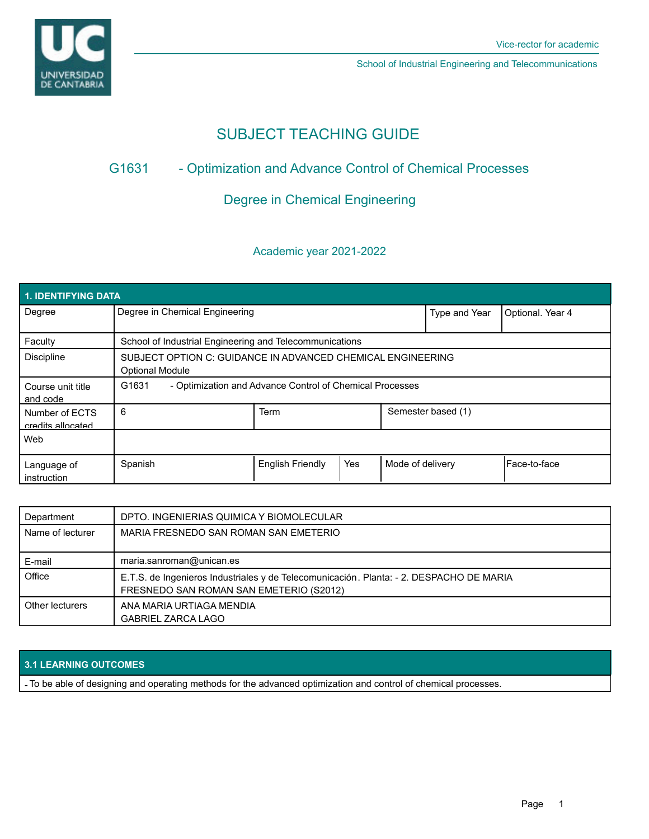

School of Industrial Engineering and Telecommunications

# SUBJECT TEACHING GUIDE

## G1631 - Optimization and Advance Control of Chemical Processes

## Degree in Chemical Engineering

## Academic year 2021-2022

| 1. IDENTIFYING DATA                 |                                                                                       |                         |     |                  |                    |                  |  |  |  |
|-------------------------------------|---------------------------------------------------------------------------------------|-------------------------|-----|------------------|--------------------|------------------|--|--|--|
| Degree                              | Degree in Chemical Engineering                                                        |                         |     |                  | Type and Year      | Optional. Year 4 |  |  |  |
| Faculty                             | School of Industrial Engineering and Telecommunications                               |                         |     |                  |                    |                  |  |  |  |
| <b>Discipline</b>                   | SUBJECT OPTION C: GUIDANCE IN ADVANCED CHEMICAL ENGINEERING<br><b>Optional Module</b> |                         |     |                  |                    |                  |  |  |  |
| Course unit title<br>and code       | G1631<br>- Optimization and Advance Control of Chemical Processes                     |                         |     |                  |                    |                  |  |  |  |
| Number of ECTS<br>credits allocated | 6                                                                                     | <b>Term</b>             |     |                  | Semester based (1) |                  |  |  |  |
| Web                                 |                                                                                       |                         |     |                  |                    |                  |  |  |  |
| Language of<br>instruction          | Spanish                                                                               | <b>English Friendly</b> | Yes | Mode of delivery |                    | Face-to-face     |  |  |  |

| Department       | DPTO. INGENIERIAS QUIMICA Y BIOMOLECULAR                                                                                           |
|------------------|------------------------------------------------------------------------------------------------------------------------------------|
| Name of lecturer | MARIA FRESNEDO SAN ROMAN SAN EMETERIO                                                                                              |
| E-mail           | maria.sanroman@unican.es                                                                                                           |
| Office           | E.T.S. de Ingenieros Industriales y de Telecomunicación. Planta: - 2. DESPACHO DE MARIA<br>FRESNEDO SAN ROMAN SAN EMETERIO (S2012) |
| Other lecturers  | ANA MARIA URTIAGA MENDIA<br><b>GABRIEL ZARCA LAGO</b>                                                                              |

## **3.1 LEARNING OUTCOMES**

- To be able of designing and operating methods for the advanced optimization and control of chemical processes.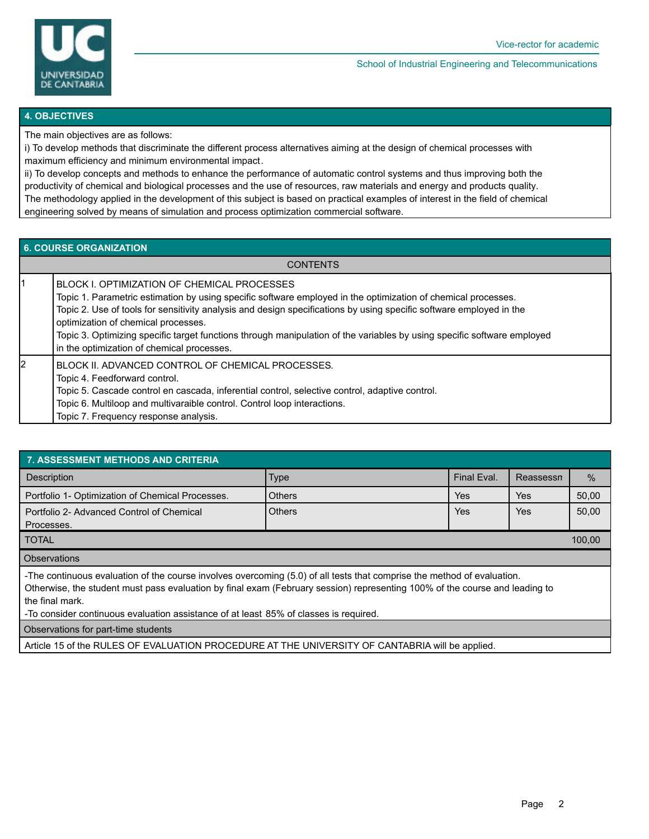

#### School of Industrial Engineering and Telecommunications

#### **4. OBJECTIVES**

The main objectives are as follows:

i) To develop methods that discriminate the different process alternatives aiming at the design of chemical processes with maximum efficiency and minimum environmental impact.

ii) To develop concepts and methods to enhance the performance of automatic control systems and thus improving both the productivity of chemical and biological processes and the use of resources, raw materials and energy and products quality. The methodology applied in the development of this subject is based on practical examples of interest in the field of chemical engineering solved by means of simulation and process optimization commercial software.

### **6. COURSE ORGANIZATION**

**CONTENTS** 

1 BLOCK I. OPTIMIZATION OF CHEMICAL PROCESSES Topic 1. Parametric estimation by using specific software employed in the optimization of chemical processes. Topic 2. Use of tools for sensitivity analysis and design specifications by using specific software employed in the optimization of chemical processes. Topic 3. Optimizing specific target functions through manipulation of the variables by using specific software employed in the optimization of chemical processes. 2 BLOCK II. ADVANCED CONTROL OF CHEMICAL PROCESSES. Topic 4. Feedforward control. Topic 5. Cascade control en cascada, inferential control, selective control, adaptive control. Topic 6. Multiloop and multivaraible control. Control loop interactions. Topic 7. Frequency response analysis.

| <b>7. ASSESSMENT METHODS AND CRITERIA</b>                                                                                                                                                                                                                                                                                                                          |               |             |           |       |  |  |  |  |
|--------------------------------------------------------------------------------------------------------------------------------------------------------------------------------------------------------------------------------------------------------------------------------------------------------------------------------------------------------------------|---------------|-------------|-----------|-------|--|--|--|--|
| <b>Description</b>                                                                                                                                                                                                                                                                                                                                                 | <b>Type</b>   | Final Eval. | Reassessn | $\%$  |  |  |  |  |
| Portfolio 1- Optimization of Chemical Processes.                                                                                                                                                                                                                                                                                                                   | <b>Others</b> | Yes         | Yes       | 50,00 |  |  |  |  |
| Portfolio 2- Advanced Control of Chemical<br>Processes.                                                                                                                                                                                                                                                                                                            | <b>Others</b> | Yes         | Yes       | 50,00 |  |  |  |  |
| <b>TOTAL</b>                                                                                                                                                                                                                                                                                                                                                       |               |             |           |       |  |  |  |  |
| <b>Observations</b>                                                                                                                                                                                                                                                                                                                                                |               |             |           |       |  |  |  |  |
| -The continuous evaluation of the course involves overcoming (5.0) of all tests that comprise the method of evaluation.<br>Otherwise, the student must pass evaluation by final exam (February session) representing 100% of the course and leading to<br>the final mark.<br>-To consider continuous evaluation assistance of at least 85% of classes is required. |               |             |           |       |  |  |  |  |
| Observations for part-time students                                                                                                                                                                                                                                                                                                                                |               |             |           |       |  |  |  |  |

Article 15 of the RULES OF EVALUATION PROCEDURE AT THE UNIVERSITY OF CANTABRIA will be applied.